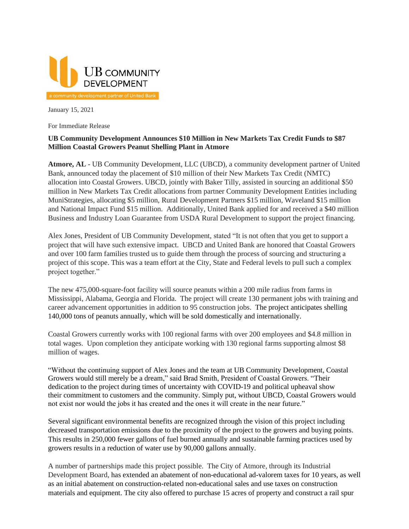

January 15, 2021

For Immediate Release

## **UB Community Development Announces \$10 Million in New Markets Tax Credit Funds to \$87 Million Coastal Growers Peanut Shelling Plant in Atmore**

**Atmore, AL** - UB Community Development, LLC (UBCD), a community development partner of United Bank, announced today the placement of \$10 million of their New Markets Tax Credit (NMTC) allocation into Coastal Growers. UBCD, jointly with Baker Tilly, assisted in sourcing an additional \$50 million in New Markets Tax Credit allocations from partner Community Development Entities including MuniStrategies, allocating \$5 million, Rural Development Partners \$15 million, Waveland \$15 million and National Impact Fund \$15 million. Additionally, United Bank applied for and received a \$40 million Business and Industry Loan Guarantee from USDA Rural Development to support the project financing.

Alex Jones, President of UB Community Development, stated "It is not often that you get to support a project that will have such extensive impact. UBCD and United Bank are honored that Coastal Growers and over 100 farm families trusted us to guide them through the process of sourcing and structuring a project of this scope. This was a team effort at the City, State and Federal levels to pull such a complex project together."

The new 475,000-square-foot facility will source peanuts within a 200 mile radius from farms in Mississippi, Alabama, Georgia and Florida. The project will create 130 permanent jobs with training and career advancement opportunities in addition to 95 construction jobs. The project anticipates shelling 140,000 tons of peanuts annually, which will be sold domestically and internationally.

Coastal Growers currently works with 100 regional farms with over 200 employees and \$4.8 million in total wages. Upon completion they anticipate working with 130 regional farms supporting almost \$8 million of wages.

"Without the continuing support of Alex Jones and the team at UB Community Development, Coastal Growers would still merely be a dream," said Brad Smith, President of Coastal Growers. "Their dedication to the project during times of uncertainty with COVID-19 and political upheaval show their commitment to customers and the community. Simply put, without UBCD, Coastal Growers would not exist nor would the jobs it has created and the ones it will create in the near future."

Several significant environmental benefits are recognized through the vision of this project including decreased transportation emissions due to the proximity of the project to the growers and buying points. This results in 250,000 fewer gallons of fuel burned annually and sustainable farming practices used by growers results in a reduction of water use by 90,000 gallons annually.

A number of partnerships made this project possible. The City of Atmore, through its Industrial Development Board, has extended an abatement of non-educational ad-valorem taxes for 10 years, as well as an initial abatement on construction-related non-educational sales and use taxes on construction materials and equipment. The city also offered to purchase 15 acres of property and construct a rail spur